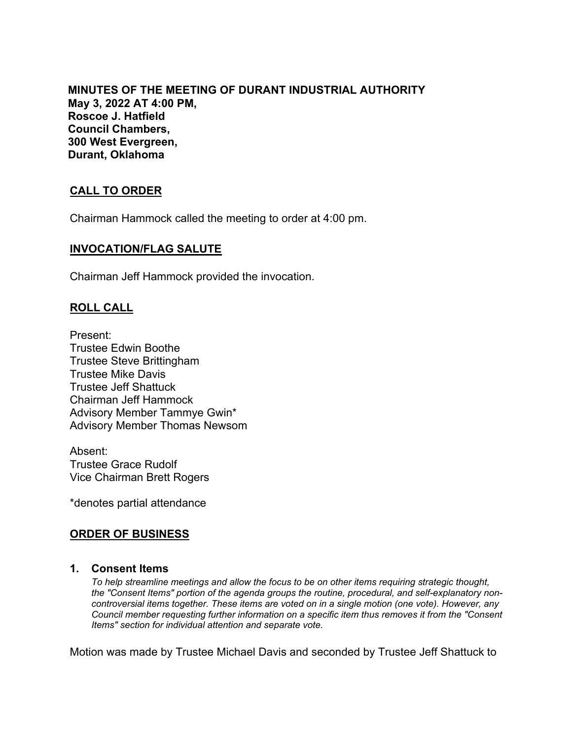**MINUTES OF THE MEETING OF DURANT INDUSTRIAL AUTHORITY May 3, 2022 AT 4:00 PM, Roscoe J. Hatfield Council Chambers, 300 West Evergreen, Durant, Oklahoma**

# **CALL TO ORDER**

Chairman Hammock called the meeting to order at 4:00 pm.

## **INVOCATION/FLAG SALUTE**

Chairman Jeff Hammock provided the invocation.

## **ROLL CALL**

Present: Trustee Edwin Boothe Trustee Steve Brittingham Trustee Mike Davis Trustee Jeff Shattuck Chairman Jeff Hammock Advisory Member Tammye Gwin\* Advisory Member Thomas Newsom

Absent: Trustee Grace Rudolf Vice Chairman Brett Rogers

\*denotes partial attendance

## **ORDER OF BUSINESS**

#### **1. Consent Items**

*To help streamline meetings and allow the focus to be on other items requiring strategic thought, the "Consent Items" portion of the agenda groups the routine, procedural, and self-explanatory noncontroversial items together. These items are voted on in a single motion (one vote). However, any Council member requesting further information on a specific item thus removes it from the "Consent Items" section for individual attention and separate vote.*

Motion was made by Trustee Michael Davis and seconded by Trustee Jeff Shattuck to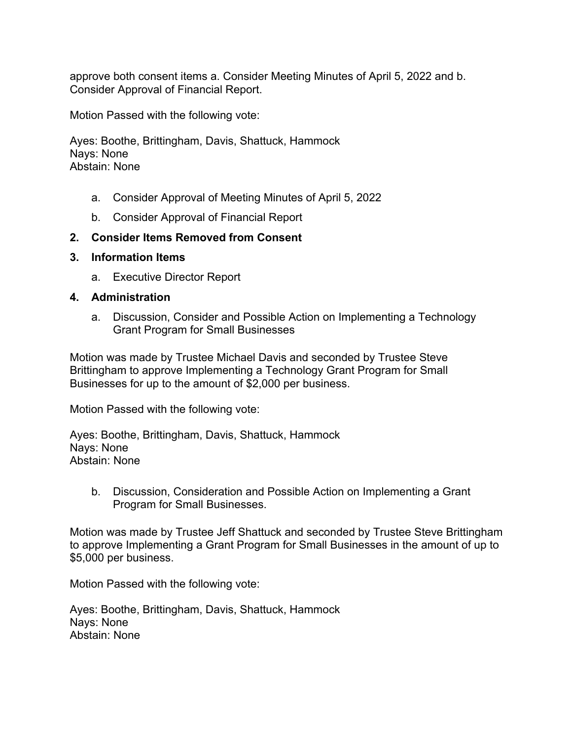approve both consent items a. Consider Meeting Minutes of April 5, 2022 and b. Consider Approval of Financial Report.

Motion Passed with the following vote:

Ayes: Boothe, Brittingham, Davis, Shattuck, Hammock Nays: None Abstain: None

- a. Consider Approval of Meeting Minutes of April 5, 2022
- b. Consider Approval of Financial Report

### **2. Consider Items Removed from Consent**

#### **3. Information Items**

a. Executive Director Report

#### **4. Administration**

a. Discussion, Consider and Possible Action on Implementing a Technology Grant Program for Small Businesses

Motion was made by Trustee Michael Davis and seconded by Trustee Steve Brittingham to approve Implementing a Technology Grant Program for Small Businesses for up to the amount of \$2,000 per business.

Motion Passed with the following vote:

Ayes: Boothe, Brittingham, Davis, Shattuck, Hammock Nays: None Abstain: None

b. Discussion, Consideration and Possible Action on Implementing a Grant Program for Small Businesses.

Motion was made by Trustee Jeff Shattuck and seconded by Trustee Steve Brittingham to approve Implementing a Grant Program for Small Businesses in the amount of up to \$5,000 per business.

Motion Passed with the following vote:

Ayes: Boothe, Brittingham, Davis, Shattuck, Hammock Nays: None Abstain: None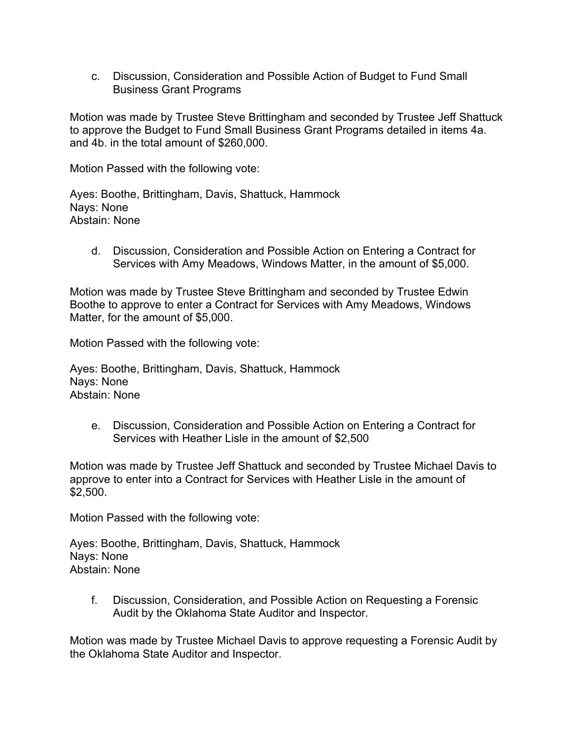c. Discussion, Consideration and Possible Action of Budget to Fund Small Business Grant Programs

Motion was made by Trustee Steve Brittingham and seconded by Trustee Jeff Shattuck to approve the Budget to Fund Small Business Grant Programs detailed in items 4a. and 4b. in the total amount of \$260,000.

Motion Passed with the following vote:

Ayes: Boothe, Brittingham, Davis, Shattuck, Hammock Nays: None Abstain: None

d. Discussion, Consideration and Possible Action on Entering a Contract for Services with Amy Meadows, Windows Matter, in the amount of \$5,000.

Motion was made by Trustee Steve Brittingham and seconded by Trustee Edwin Boothe to approve to enter a Contract for Services with Amy Meadows, Windows Matter, for the amount of \$5,000.

Motion Passed with the following vote:

Ayes: Boothe, Brittingham, Davis, Shattuck, Hammock Nays: None Abstain: None

e. Discussion, Consideration and Possible Action on Entering a Contract for Services with Heather Lisle in the amount of \$2,500

Motion was made by Trustee Jeff Shattuck and seconded by Trustee Michael Davis to approve to enter into a Contract for Services with Heather Lisle in the amount of \$2,500.

Motion Passed with the following vote:

Ayes: Boothe, Brittingham, Davis, Shattuck, Hammock Nays: None Abstain: None

f. Discussion, Consideration, and Possible Action on Requesting a Forensic Audit by the Oklahoma State Auditor and Inspector.

Motion was made by Trustee Michael Davis to approve requesting a Forensic Audit by the Oklahoma State Auditor and Inspector.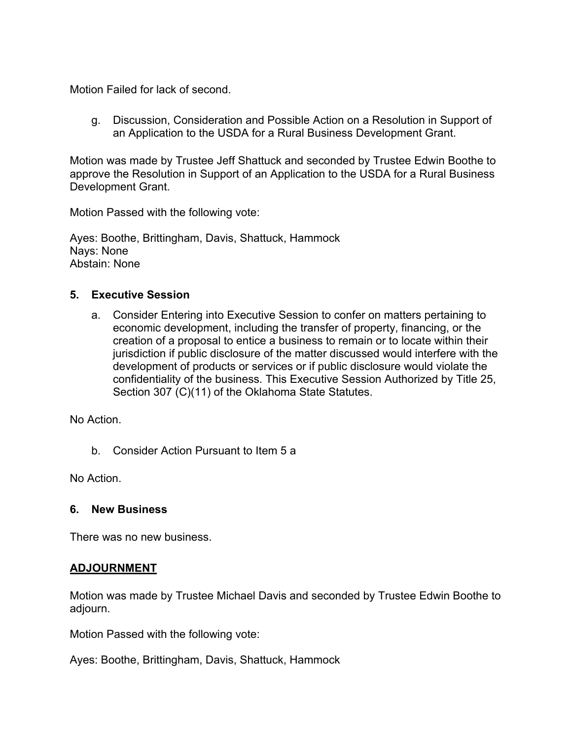Motion Failed for lack of second.

g. Discussion, Consideration and Possible Action on a Resolution in Support of an Application to the USDA for a Rural Business Development Grant.

Motion was made by Trustee Jeff Shattuck and seconded by Trustee Edwin Boothe to approve the Resolution in Support of an Application to the USDA for a Rural Business Development Grant.

Motion Passed with the following vote:

Ayes: Boothe, Brittingham, Davis, Shattuck, Hammock Nays: None Abstain: None

## **5. Executive Session**

a. Consider Entering into Executive Session to confer on matters pertaining to economic development, including the transfer of property, financing, or the creation of a proposal to entice a business to remain or to locate within their jurisdiction if public disclosure of the matter discussed would interfere with the development of products or services or if public disclosure would violate the confidentiality of the business. This Executive Session Authorized by Title 25, Section 307 (C)(11) of the Oklahoma State Statutes.

No Action.

b. Consider Action Pursuant to Item 5 a

No Action.

## **6. New Business**

There was no new business.

## **ADJOURNMENT**

Motion was made by Trustee Michael Davis and seconded by Trustee Edwin Boothe to adjourn.

Motion Passed with the following vote:

Ayes: Boothe, Brittingham, Davis, Shattuck, Hammock